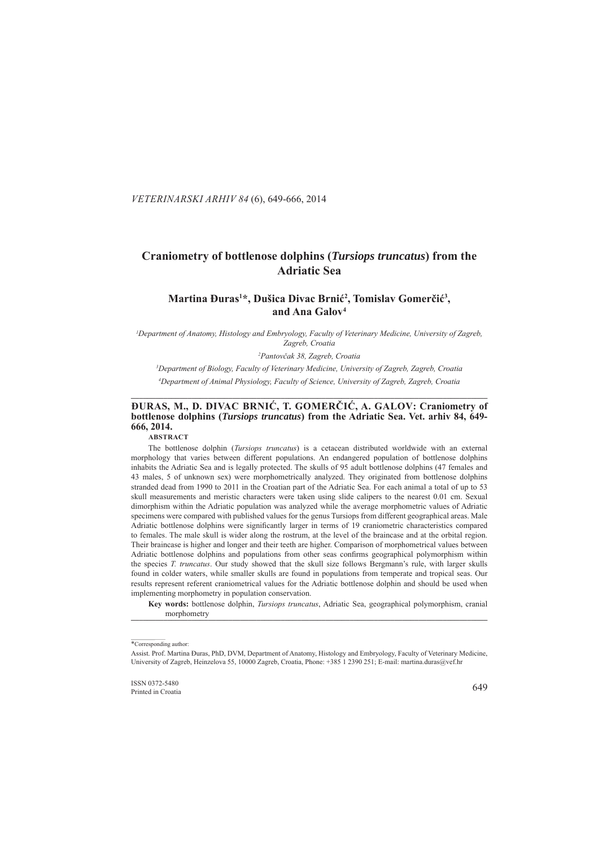. *VETERINARSKI ARHIV 84* (6), 649-666, 2014

# **Craniometry of bottlenose dolphins ( raniometry** *Tursiops truncatus ursiops* **) from the Adriatic Sea driatic**

## Martina Đuras<sup>1\*</sup>, Dušica Divac Brnić<sup>2</sup>, Tomislav Gomerčić<sup>3</sup>, and Ana Galov<sup>4</sup>

<sup>1</sup>Department of Anatomy, Histology and Embryology, Faculty of Veterinary Medicine, University of Zagreb, *Zagreb, Croatia agreb,* 

*2 Pantovčak 38, Zagreb, Croatia k* 

*3 Department of Biology, Faculty of Veterinary Medicine, University of Zagreb, Zagreb, Croatia epartment Zagreb, Zagreb, 4 Department of Animal Physiology, Faculty of Science, University of Zagreb, Zagreb, Croatia epartment*  **\_\_\_\_\_\_\_\_\_\_\_\_\_\_\_\_\_\_\_\_\_\_\_\_\_\_\_\_\_\_\_\_\_\_\_\_\_\_\_\_\_\_\_\_\_\_\_\_\_\_\_\_\_\_\_\_\_\_\_\_\_\_\_ \_\_\_\_\_\_\_\_\_\_\_\_\_\_\_\_\_\_\_\_\_\_\_\_\_\_\_\_\_\_\_\_\_\_\_\_\_\_\_\_\_\_\_\_\_\_\_\_\_\_\_\_\_\_\_\_\_\_\_\_\_\_\_\_\_\_\_\_\_\_\_\_\_\_\_\_\_\_\_\_\_\_\_\_\_\_\_ \_\_\_\_\_\_\_\_\_\_\_\_\_\_\_\_\_\_\_\_\_\_\_\_\_**

## **ĐURAS, M., D. DIVAC BRNIĆ, T. GOMERČIĆ, A. GALOV: Craniometry of bottlenose dolphins ( ottlenose** *Tursiops truncatus ursiops* **) from the Adriatic Sea Sea. Vet. arhiv 84, 649- 666, 2014.**

**ABSTRACT**

The bottlenose dolphin (*Tursiops truncatus*) is a cetacean distributed worldwide with an external morphology that varies between different populations. An endangered population of bottlenose dolphins inhabits the Adriatic Sea and is legally protected. The skulls of 95 adult bottlenose dolphins (47 females and 43 males, 5 of unknown sex) were morphometrically analyzed. They originated from bottlenose dolphins stranded dead from 1990 to 2011 in the Croatian part of the Adriatic Sea. For each animal a total of up to 53 skull measurements and meristic characters were taken using slide calipers to the nearest 0.01 cm. Sexual dimorphism within the Adriatic population was analyzed while the average morphometric values of Adriatic specimens were compared with published values for the genus Tursiops from different geographical areas. Male Adriatic bottlenose dolphins were significantly larger in terms of 19 craniometric characteristics compared to females. The male skull is wider along the rostrum, at the level of the braincase and at the orbital region. Their braincase is higher and longer and their teeth are higher. Comparison of morphometrical values between Adriatic bottlenose dolphins and populations from other seas confirms geographical polymorphism within the species *T. truncatus*. Our study showed that the skull size follows Bergmann's rule, with larger skulls found in colder waters, while smaller skulls are found in populations from temperate and tropical seas. Our results represent referent craniometrical values for the Adriatic bottlenose dolphin and should be used when implementing morphometry in population conservation.

**Key words:** bottlenose dolphin, *Tursiops truncatus*, Adriatic Sea, geographical polymorphism, cranial morphometry

<sup>\*</sup>Corresponding author:

Assist. Prof. Martina Đuras, PhD, DVM, Department of Anatomy, Histology and Embryology, Faculty of Veterinary Medicine, University of Zagreb, Heinzelova 55, 10000 Zagreb, Croatia, Phone: +385 1 2390 251; E-mail: martina.duras@vef.hr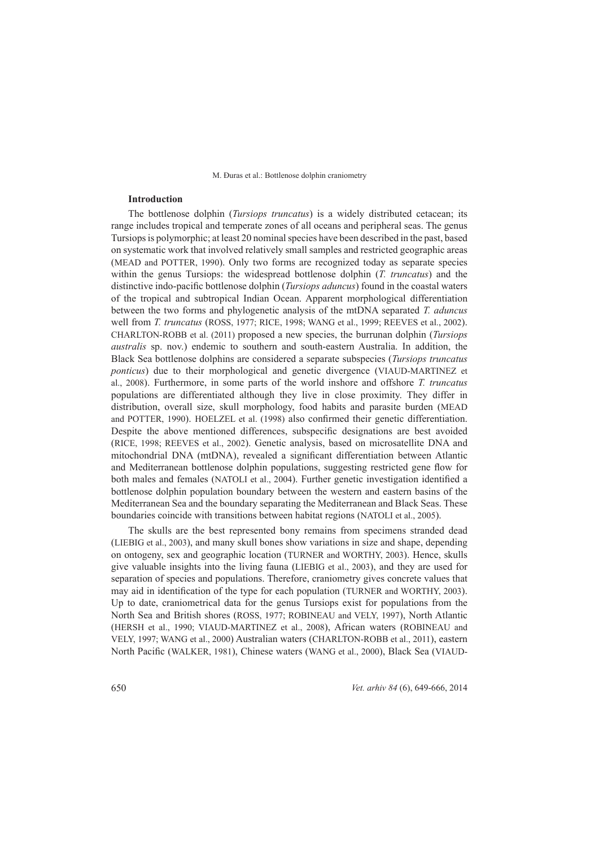## **Introduction ntroduction**

The bottlenose dolphin (*Tursiops truncatus*) is a widely distributed cetacean; its range includes tropical and temperate zones of all oceans and peripheral seas. The genus Tursiops is polymorphic; at least 20 nominal species have been described in the past, based on systematic work that involved relatively small samples and restricted geographic areas (MEAD and POTTER, 1990). Only two forms are recognized today as separate species within the genus Tursiops: the widespread bottlenose dolphin (*T. truncatus*) and the distinctive indo-pacific bottlenose dolphin (*Tursiops aduncus*) found in the coastal waters of the tropical and subtropical Indian Ocean. Apparent morphological differentiation between the two forms and phylogenetic analysis of the mtDNA separated *T. aduncus* well from *T. truncatus* (ROSS, 1977; RICE, 1998; WANG et al., 1999; REEVES et al., 2002). CHARLTON-ROBB et al. (2011) proposed a new species, the burrunan dolphin (*Tursiops australis* sp. nov.) endemic to southern and south-eastern Australia. In addition, the Black Sea bottlenose dolphins are considered a separate subspecies (*Tursiops truncatus ponticus*) due to their morphological and genetic divergence (VIAUD-MARTINEZ et al., 2008). Furthermore, in some parts of the world inshore and offshore *T. truncatus* populations are differentiated although they live in close proximity. They differ in distribution, overall size, skull morphology, food habits and parasite burden (MEAD and POTTER, 1990). HOELZEL et al. (1998) also confirmed their genetic differentiation. Despite the above mentioned differences, subspecific designations are best avoided (RICE, 1998; REEVES et al., 2002). Genetic analysis, based on microsatellite DNA and mitochondrial DNA (mtDNA), revealed a significant differentiation between Atlantic and Mediterranean bottlenose dolphin populations, suggesting restricted gene flow for both males and females (NATOLI et al., 2004). Further genetic investigation identified a bottlenose dolphin population boundary between the western and eastern basins of the Mediterranean Sea and the boundary separating the Mediterranean and Black Seas. These boundaries coincide with transitions between habitat regions (NATOLI et al., 2005).

The skulls are the best represented bony remains from specimens stranded dead (LIEBIG et al., 2003), and many skull bones show variations in size and shape, depending on ontogeny, sex and geographic location (TURNER and WORTHY, 2003). Hence, skulls give valuable insights into the living fauna (LIEBIG et al., 2003), and they are used for separation of species and populations. Therefore, craniometry gives concrete values that may aid in identification of the type for each population (TURNER and WORTHY, 2003). Up to date, craniometrical data for the genus Tursiops exist for populations from the North Sea and British shores (ROSS, 1977; ROBINEAU and VELY, 1997), North Atlantic (HERSH et al., 1990; VIAUD-MARTINEZ et al., 2008), African waters (ROBINEAU and VELY, 1997; WANG et al., 2000) Australian waters (CHARLTON-ROBB et al., 2011), eastern North Pacific (WALKER, 1981), Chinese waters (WANG et al., 2000), Black Sea (VIAUD-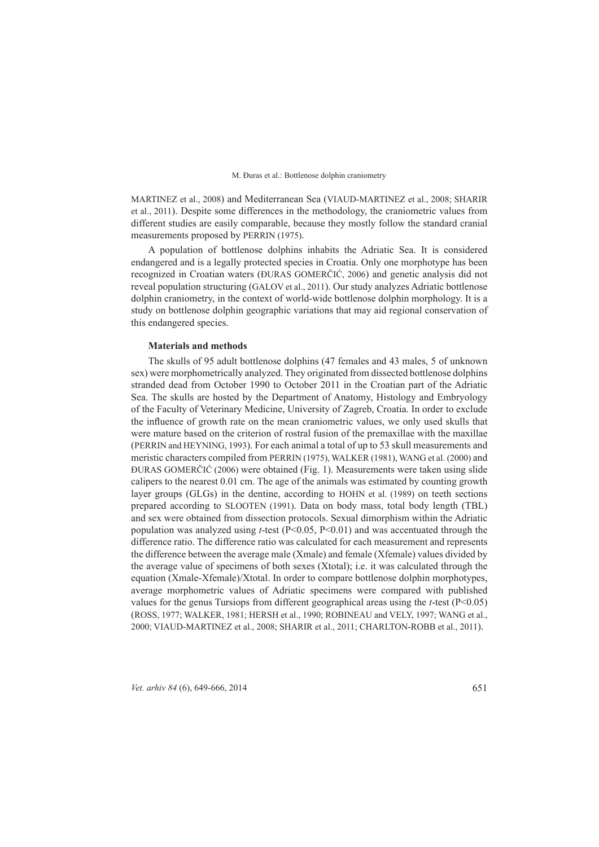MARTINEZ et al., 2008) and Mediterranean Sea (VIAUD-MARTINEZ et al., 2008; SHARIR et al., 2011). Despite some differences in the methodology, the craniometric values from different studies are easily comparable, because they mostly follow the standard cranial measurements proposed by PERRIN (1975).

A population of bottlenose dolphins inhabits the Adriatic Sea. It is considered t endangered and is a legally protected species in Croatia. Only one morphotype has been recognized in Croatian waters (ĐURAS GOMERČIĆ, 2006) and genetic analysis did not reveal population structuring (GALOV et al., 2011). Our study analyzes Adriatic bottlenose dolphin craniometry, in the context of world-wide bottlenose dolphin morphology. It is a study on bottlenose dolphin geographic variations that may aid regional conservation of this endangered species.

### **Materials and methods aterials**

The skulls of 95 adult bottlenose dolphins (47 females and 43 males, 5 of unknown sex) were morphometrically analyzed. They originated from dissected bottlenose dolphins stranded dead from October 1990 to October 2011 in the Croatian part of the Adriatic Sea. The skulls are hosted by the Department of Anatomy, Histology and Embryology of the Faculty of Veterinary Medicine, University of Zagreb, Croatia. In order to exclude the influence of growth rate on the mean craniometric values, we only used skulls that were mature based on the criterion of rostral fusion of the premaxillae with the maxillae (PERRIN and HEYNING, 1993). For each animal a total of up to 53 skull measurements and meristic characters compiled from PERRIN (1975), WALKER (1981), WANG et al. (2000) and ĐURAS GOMERČIĆ (2006) were obtained (Fig. 1). Measurements were taken using slide calipers to the nearest  $0.01$  cm. The age of the animals was estimated by counting growth layer groups  $(GLGs)$  in the dentine, according to HOHN et al. (1989) on teeth sections prepared according to SLOOTEN (1991). Data on body mass, total body length (TBL) and sex were obtained from dissection protocols. Sexual dimorphism within the Adriatic population was analyzed using  $t$ -test (P<0.05, P<0.01) and was accentuated through the difference ratio. The difference ratio was calculated for each measurement and represents the difference between the average male (Xmale) and female (Xfemale) values divided by the average value of specimens of both sexes (Xtotal); i.e. it was calculated through the equation (Xmale-Xfemale)/Xtotal. In order to compare bottlenose dolphin morphotypes, average morphometric values of Adriatic specimens were compared with published values for the genus Tursiops from different geographical areas using the  $t$ -test (P<0.05) (ROSS, 1977; WALKER, 1981; HERSH et al., 1990; ROBINEAU and VELY, 1997; WANG et al., 2000; VIAUD-MARTINEZ et al., 2008; SHARIR et al., 2011; CHARLTON-ROBB et al., 2011).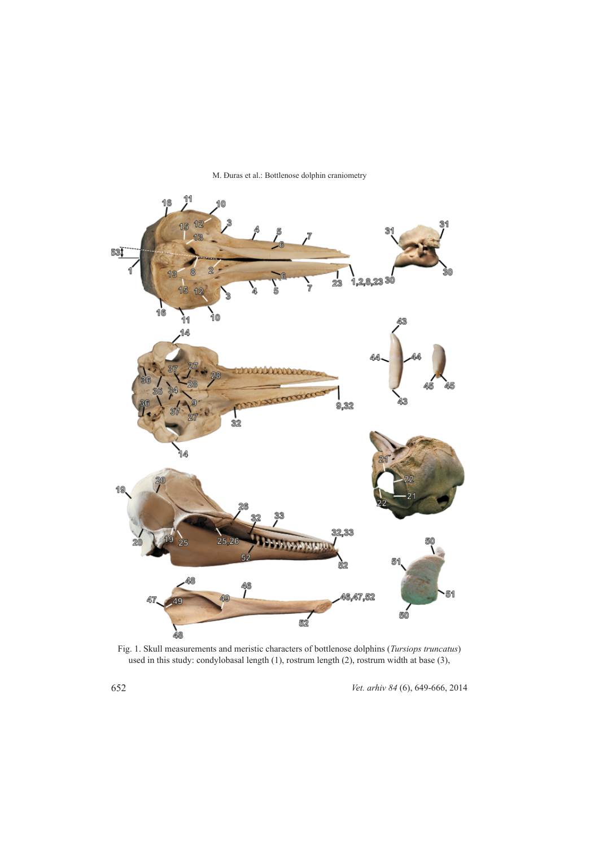

M. Đuras et al.: Bottlenose dolphin craniometry

Fig. 1. Skull measurements and meristic characters of bottlenose dolphins (*Tursiops truncatus*) used in this study: condylobasal length  $(1)$ , rostrum length  $(2)$ , rostrum width at base  $(3)$ ,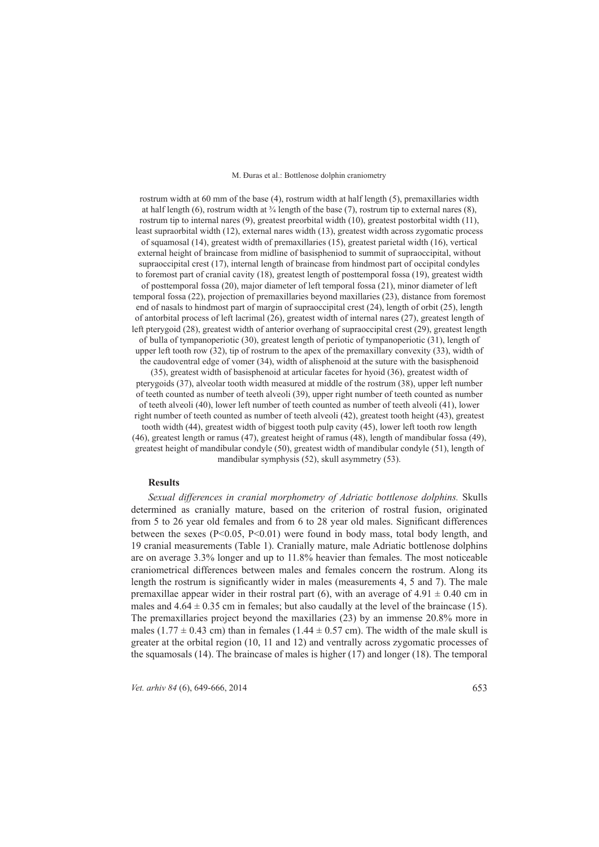rostrum width at 60 mm of the base  $(4)$ , rostrum width at half length (5), premaxillaries width at half length (6), rostrum width at  $\frac{3}{4}$  length of the base (7), rostrum tip to external nares (8), rostrum tip to internal nares  $(9)$ , greatest preorbital width  $(10)$ , greatest postorbital width  $(11)$ , least supraorbital width (12), external nares width (13), greatest width across zygomatic process of squamosal  $(14)$ , greatest width of premaxillaries  $(15)$ , greatest parietal width  $(16)$ , vertical external height of braincase from midline of basispheniod to summit of supraoccipital, without supraoccipital crest  $(17)$ , internal length of braincase from hindmost part of occipital condyles to foremost part of cranial cavity  $(18)$ , greatest length of posttemporal fossa  $(19)$ , greatest width of posttemporal fossa (20), major diameter of left temporal fossa (21), minor diameter of left temporal fossa  $(22)$ , projection of premaxillaries beyond maxillaries  $(23)$ , distance from foremost end of nasals to hindmost part of margin of supraoccipital crest (24), length of orbit (25), length of antorbital process of left lacrimal  $(26)$ , greatest width of internal nares  $(27)$ , greatest length of left pterygoid (28), greatest width of anterior overhang of supraoccipital crest (29), greatest length of bulla of tympanoperiotic (30), greatest length of periotic of tympanoperiotic (31), length of upper left tooth row (32), tip of rostrum to the apex of the premaxillary convexity (33), width of the caudoventral edge of vomer  $(34)$ , width of alisphenoid at the suture with the basisphenoid  $(35)$ , greatest width of basisphenoid at articular facetes for hyoid  $(36)$ , greatest width of pterygoids  $(37)$ , alveolar tooth width measured at middle of the rostrum  $(38)$ , upper left number of teeth counted as number of teeth alveoli (39), upper right number of teeth counted as number of teeth alveoli (40), lower left number of teeth counted as number of teeth alveoli (41), lower right number of teeth counted as number of teeth alveoli (42), greatest tooth height (43), greatest tooth width  $(44)$ , greatest width of biggest tooth pulp cavity  $(45)$ , lower left tooth row length  $(46)$ , greatest length or ramus  $(47)$ , greatest height of ramus  $(48)$ , length of mandibular fossa  $(49)$ , greatest height of mandibular condyle  $(50)$ , greatest width of mandibular condyle  $(51)$ , length of mandibular symphysis  $(52)$ , skull asymmetry  $(53)$ .

### **Results**

*Sexual differences in cranial morphometry of Adriatic bottlenose dolphins. Skulls* determined as cranially mature, based on the criterion of rostral fusion, originated from 5 to 26 year old females and from 6 to 28 year old males. Significant differences between the sexes ( $P<0.05$ ,  $P<0.01$ ) were found in body mass, total body length, and 19 cranial measurements (Table 1). Cranially mature, male Adriatic bottlenose dolphins are on average  $3.3\%$  longer and up to  $11.8\%$  heavier than females. The most noticeable craniometrical differences between males and females concern the rostrum. Along its length the rostrum is significantly wider in males (measurements 4, 5 and 7). The male premaxillae appear wider in their rostral part (6), with an average of  $4.91 \pm 0.40$  cm in males and  $4.64 \pm 0.35$  cm in females; but also caudally at the level of the braincase (15). The premaxillaries project beyond the maxillaries  $(23)$  by an immense  $20.8\%$  more in males (1.77  $\pm$  0.43 cm) than in females (1.44  $\pm$  0.57 cm). The width of the male skull is greater at the orbital region  $(10, 11, 12)$  and ventrally across zygomatic processes of the squamosals  $(14)$ . The braincase of males is higher  $(17)$  and longer  $(18)$ . The temporal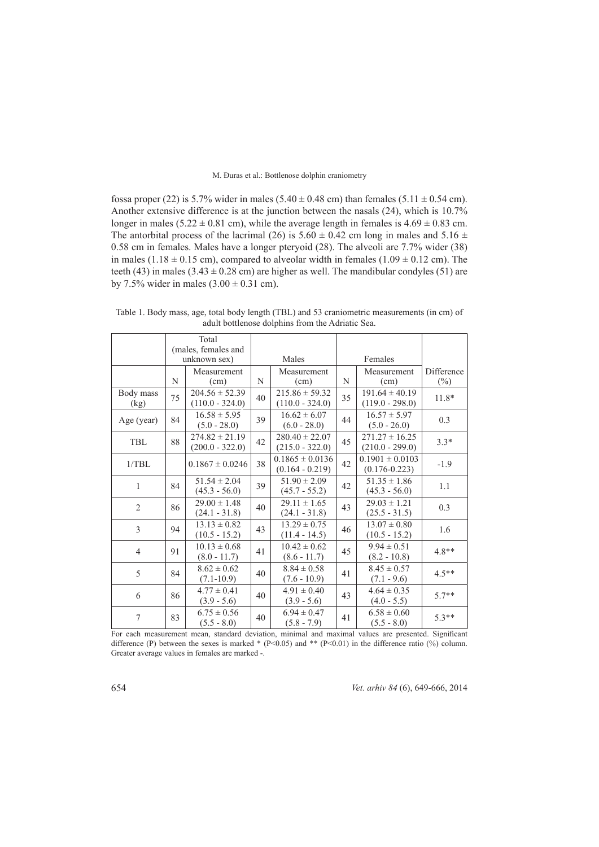fossa proper (22) is 5.7% wider in males (5.40  $\pm$  0.48 cm) than females (5.11  $\pm$  0.54 cm). Another extensive difference is at the junction between the nasals  $(24)$ , which is 10.7% longer in males (5.22  $\pm$  0.81 cm), while the average length in females is 4.69  $\pm$  0.83 cm. The antorbital process of the lacrimal (26) is  $5.60 \pm 0.42$  cm long in males and  $5.16 \pm 0.16$ 0.58 cm in females. Males have a longer pteryoid  $(28)$ . The alveoli are 7.7% wider  $(38)$ in males (1.18  $\pm$  0.15 cm), compared to alveolar width in females (1.09  $\pm$  0.12 cm). The teeth (43) in males (3.43  $\pm$  0.28 cm) are higher as well. The mandibular condyles (51) are by 7.5% wider in males  $(3.00 \pm 0.31 \text{ cm})$ .

|                   |    | Total<br>(males, females and<br>unknown sex) |    | Males                                    |    | Females                                  |                      |
|-------------------|----|----------------------------------------------|----|------------------------------------------|----|------------------------------------------|----------------------|
|                   | N  | Measurement<br>(cm)                          | N  | Measurement<br>(cm)                      | N  | Measurement<br>(cm)                      | Difference<br>$(\%)$ |
| Body mass<br>(kg) | 75 | $204.56 \pm 52.39$<br>$(110.0 - 324.0)$      | 40 | $215.86 \pm 59.32$<br>$(110.0 - 324.0)$  | 35 | $191.64 \pm 40.19$<br>$(119.0 - 298.0)$  | 11.8*                |
| Age (year)        | 84 | $16.58 \pm 5.95$<br>$(5.0 - 28.0)$           | 39 | $16.62 \pm 6.07$<br>$(6.0 - 28.0)$       | 44 | $16.57 \pm 5.97$<br>$(5.0 - 26.0)$       | 0.3                  |
| TBL               | 88 | $274.82 \pm 21.19$<br>$(200.0 - 322.0)$      | 42 | $280.40 \pm 22.07$<br>$(215.0 - 322.0)$  | 45 | $271.27 \pm 16.25$<br>$(210.0 - 299.0)$  | $3.3*$               |
| 1/TBL             |    | $0.1867 \pm 0.0246$                          | 38 | $0.1865 \pm 0.0136$<br>$(0.164 - 0.219)$ | 42 | $0.1901 \pm 0.0103$<br>$(0.176 - 0.223)$ | $-1.9$               |
| $\mathbf{1}$      | 84 | $51.54 \pm 2.04$<br>$(45.3 - 56.0)$          | 39 | $51.90 \pm 2.09$<br>$(45.7 - 55.2)$      | 42 | $51.35 \pm 1.86$<br>$(45.3 - 56.0)$      | 1.1                  |
| $\overline{2}$    | 86 | $29.00 \pm 1.48$<br>$(24.1 - 31.8)$          | 40 | $29.11 \pm 1.65$<br>$(24.1 - 31.8)$      | 43 | $29.03 \pm 1.21$<br>$(25.5 - 31.5)$      | 0.3                  |
| 3                 | 94 | $13.13 \pm 0.82$<br>$(10.5 - 15.2)$          | 43 | $13.29 \pm 0.75$<br>$(11.4 - 14.5)$      | 46 | $13.07 \pm 0.80$<br>$(10.5 - 15.2)$      | 1.6                  |
| $\overline{4}$    | 91 | $10.13 \pm 0.68$<br>$(8.0 - 11.7)$           | 41 | $10.42 \pm 0.62$<br>$(8.6 - 11.7)$       | 45 | $9.94 \pm 0.51$<br>$(8.2 - 10.8)$        | $4.8**$              |
| 5                 | 84 | $8.62 \pm 0.62$<br>$(7.1 - 10.9)$            | 40 | $8.84 \pm 0.58$<br>$(7.6 - 10.9)$        | 41 | $8.45 \pm 0.57$<br>$(7.1 - 9.6)$         | $4.5**$              |
| 6                 | 86 | $4.77 \pm 0.41$<br>$(3.9 - 5.6)$             | 40 | $4.91 \pm 0.40$<br>$(3.9 - 5.6)$         | 43 | $4.64 \pm 0.35$<br>$(4.0 - 5.5)$         | $5.7**$              |
| 7                 | 83 | $6.75 \pm 0.56$<br>$(5.5 - 8.0)$             | 40 | $6.94 \pm 0.47$<br>$(5.8 - 7.9)$         | 41 | $6.58 \pm 0.60$<br>$(5.5 - 8.0)$         | $5.3**$              |

Table 1. Body mass, age, total body length (TBL) and 53 craniometric measurements (in cm) of adult bottlenose dolphins from the Adriatic Sea.

For each measurement mean, standard deviation, minimal and maximal values are presented. Significant difference (P) between the sexes is marked \* (P<0.05) and \*\* (P<0.01) in the difference ratio (%) column. Greater average values in females are marked -.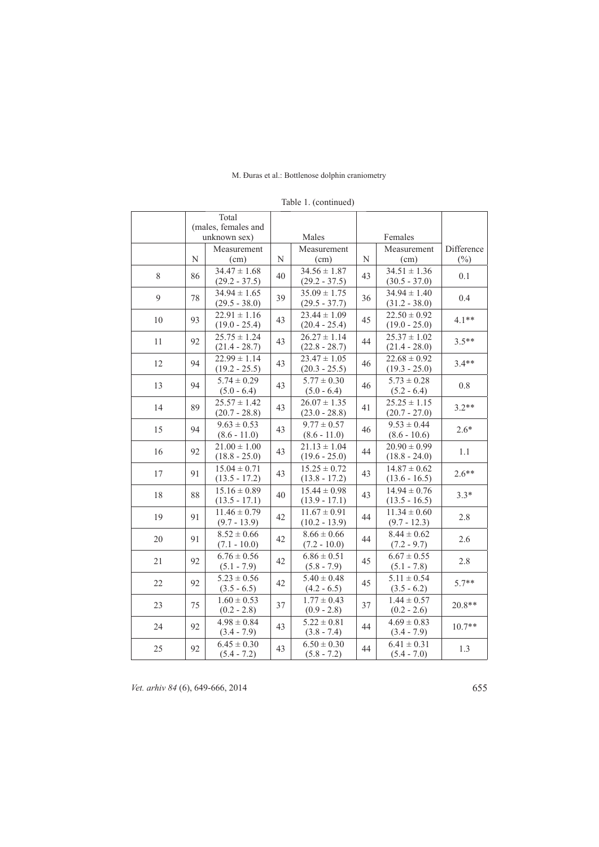|         |    | Total<br>(males, females and        |    |                                     |    |                                     |                      |
|---------|----|-------------------------------------|----|-------------------------------------|----|-------------------------------------|----------------------|
|         |    | unknown sex)                        |    | Males                               |    | Females                             |                      |
|         | N  | Measurement<br>(cm)                 | N  | Measurement<br>(cm)                 | N  | Measurement<br>(cm)                 | Difference<br>$(\%)$ |
| $\,8\,$ | 86 | $34.47 \pm 1.68$<br>$(29.2 - 37.5)$ | 40 | $34.56 \pm 1.87$<br>$(29.2 - 37.5)$ | 43 | $34.51 \pm 1.36$<br>$(30.5 - 37.0)$ | 0.1                  |
| 9       | 78 | $34.94 \pm 1.65$<br>$(29.5 - 38.0)$ | 39 | $35.09 \pm 1.75$<br>$(29.5 - 37.7)$ | 36 | $34.94 \pm 1.40$<br>$(31.2 - 38.0)$ | 0.4                  |
| 10      | 93 | $22.91 \pm 1.16$<br>$(19.0 - 25.4)$ | 43 | $23.44 \pm 1.09$<br>$(20.4 - 25.4)$ | 45 | $22.50 \pm 0.92$<br>$(19.0 - 25.0)$ | $4.1**$              |
| 11      | 92 | $25.75 \pm 1.24$<br>$(21.4 - 28.7)$ | 43 | $26.27 \pm 1.14$<br>$(22.8 - 28.7)$ | 44 | $25.37 \pm 1.02$<br>$(21.4 - 28.0)$ | $3.5**$              |
| 12      | 94 | $22.99 \pm 1.14$<br>$(19.2 - 25.5)$ | 43 | $23.47 \pm 1.05$<br>$(20.3 - 25.5)$ | 46 | $22.68 \pm 0.92$<br>$(19.3 - 25.0)$ | $3.4**$              |
| 13      | 94 | $5.74 \pm 0.29$<br>$(5.0 - 6.4)$    | 43 | $5.77 \pm 0.30$<br>$(5.0 - 6.4)$    | 46 | $5.73 \pm 0.28$<br>$(5.2 - 6.4)$    | 0.8                  |
| 14      | 89 | $25.57 \pm 1.42$<br>$(20.7 - 28.8)$ | 43 | $26.07 \pm 1.35$<br>$(23.0 - 28.8)$ | 41 | $25.25 \pm 1.15$<br>$(20.7 - 27.0)$ | $3.2**$              |
| 15      | 94 | $9.63 \pm 0.53$<br>$(8.6 - 11.0)$   | 43 | $9.77 \pm 0.57$<br>$(8.6 - 11.0)$   | 46 | $9.53 \pm 0.44$<br>$(8.6 - 10.6)$   | $2.6*$               |
| 16      | 92 | $21.00 \pm 1.00$<br>$(18.8 - 25.0)$ | 43 | $21.13 \pm 1.04$<br>$(19.6 - 25.0)$ | 44 | $20.90 \pm 0.99$<br>$(18.8 - 24.0)$ | 1.1                  |
| 17      | 91 | $15.04 \pm 0.71$<br>$(13.5 - 17.2)$ | 43 | $15.25 \pm 0.72$<br>$(13.8 - 17.2)$ | 43 | $14.87 \pm 0.62$<br>$(13.6 - 16.5)$ | $2.6**$              |
| 18      | 88 | $15.16 \pm 0.89$<br>$(13.5 - 17.1)$ | 40 | $15.44 \pm 0.98$<br>$(13.9 - 17.1)$ | 43 | $14.94 \pm 0.76$<br>$(13.5 - 16.5)$ | $3.3*$               |
| 19      | 91 | $11.46 \pm 0.79$<br>$(9.7 - 13.9)$  | 42 | $11.67 \pm 0.91$<br>$(10.2 - 13.9)$ | 44 | $11.34 \pm 0.60$<br>$(9.7 - 12.3)$  | 2.8                  |
| 20      | 91 | $8.52 \pm 0.66$<br>$(7.1 - 10.0)$   | 42 | $8.66 \pm 0.66$<br>$(7.2 - 10.0)$   | 44 | $8.44 \pm 0.62$<br>$(7.2 - 9.7)$    | 2.6                  |
| 21      | 92 | $6.76 \pm 0.56$<br>$(5.1 - 7.9)$    | 42 | $6.86 \pm 0.51$<br>$(5.8 - 7.9)$    | 45 | $6.67 \pm 0.55$<br>$(5.1 - 7.8)$    | 2.8                  |
| 22      | 92 | $5.23 \pm 0.56$<br>$(3.5 - 6.5)$    | 42 | $5.40 \pm 0.48$<br>$(4.2 - 6.5)$    | 45 | $5.11 \pm 0.54$<br>$(3.5 - 6.2)$    | $5.7**$              |
| 23      | 75 | $1.60 \pm 0.53$<br>$(0.2 - 2.8)$    | 37 | $1.77 \pm 0.43$<br>$(0.9 - 2.8)$    | 37 | $1.44 \pm 0.57$<br>$(0.2 - 2.6)$    | $20.8**$             |
| 24      | 92 | $4.98 \pm 0.84$<br>$(3.4 - 7.9)$    | 43 | $5.22 \pm 0.81$<br>$(3.8 - 7.4)$    | 44 | $4.69 \pm 0.83$<br>$(3.4 - 7.9)$    | $10.7**$             |
| 25      | 92 | $6.45 \pm 0.30$<br>$(5.4 - 7.2)$    | 43 | $6.50 \pm 0.30$<br>$(5.8 - 7.2)$    | 44 | $6.41 \pm 0.31$<br>$(5.4 - 7.0)$    | 1.3                  |

Table 1. (continued)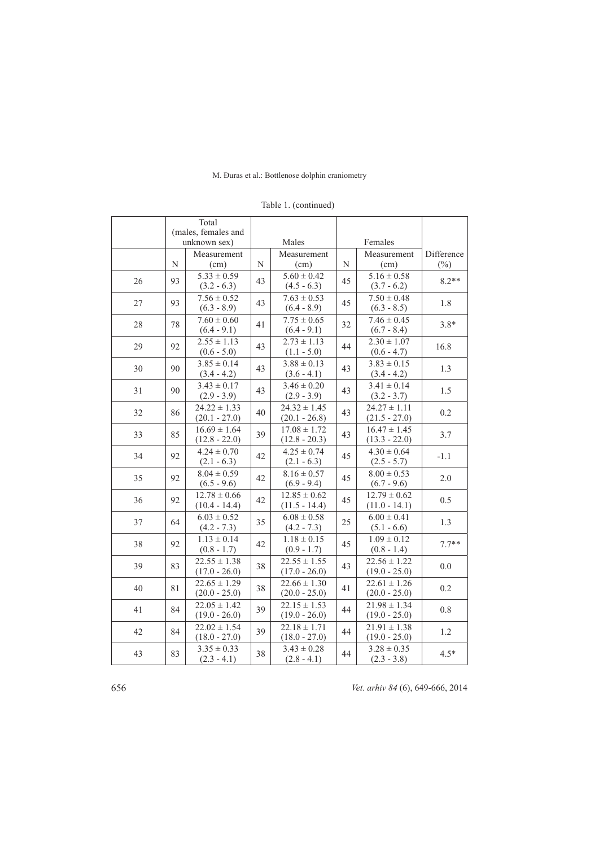|    |             | Total<br>(males, females and        |    |                                     |    |                                     |                      |
|----|-------------|-------------------------------------|----|-------------------------------------|----|-------------------------------------|----------------------|
|    |             | unknown sex)                        |    | Males                               |    | Females                             |                      |
|    | $\mathbf N$ | Measurement<br>(cm)                 | N  | Measurement<br>(cm)                 | N  | Measurement<br>(cm)                 | Difference<br>$(\%)$ |
| 26 | 93          | $5.33 \pm 0.59$<br>$(3.2 - 6.3)$    | 43 | $5.60 \pm 0.42$<br>$(4.5 - 6.3)$    | 45 | $5.16 \pm 0.58$<br>$(3.7 - 6.2)$    | $8.2**$              |
| 27 | 93          | $7.56 \pm 0.52$<br>$(6.3 - 8.9)$    | 43 | $7.63 \pm 0.53$<br>$(6.4 - 8.9)$    | 45 | $7.50 \pm 0.48$<br>$(6.3 - 8.5)$    | 1.8                  |
| 28 | 78          | $7.60 \pm 0.60$<br>$(6.4 - 9.1)$    | 41 | $7.75 \pm 0.65$<br>$(6.4 - 9.1)$    | 32 | $7.46 \pm 0.45$<br>$(6.7 - 8.4)$    | $3.8*$               |
| 29 | 92          | $2.55 \pm 1.13$<br>$(0.6 - 5.0)$    | 43 | $2.73 \pm 1.13$<br>$(1.1 - 5.0)$    | 44 | $2.30 \pm 1.07$<br>$(0.6 - 4.7)$    | 16.8                 |
| 30 | 90          | $3.85 \pm 0.14$<br>$(3.4 - 4.2)$    | 43 | $3.88 \pm 0.13$<br>$(3.6 - 4.1)$    | 43 | $3.83 \pm 0.15$<br>$(3.4 - 4.2)$    | 1.3                  |
| 31 | 90          | $3.43 \pm 0.17$<br>$(2.9 - 3.9)$    | 43 | $3.46 \pm 0.20$<br>$(2.9 - 3.9)$    | 43 | $3.41 \pm 0.14$<br>$(3.2 - 3.7)$    | 1.5                  |
| 32 | 86          | $24.22 \pm 1.33$<br>$(20.1 - 27.0)$ | 40 | $24.32 \pm 1.45$<br>$(20.1 - 26.8)$ | 43 | $24.27 \pm 1.11$<br>$(21.5 - 27.0)$ | 0.2                  |
| 33 | 85          | $16.69 \pm 1.64$<br>$(12.8 - 22.0)$ | 39 | $17.08 \pm 1.72$<br>$(12.8 - 20.3)$ | 43 | $16.47 \pm 1.45$<br>$(13.3 - 22.0)$ | 3.7                  |
| 34 | 92          | $4.24 \pm 0.70$<br>$(2.1 - 6.3)$    | 42 | $4.25 \pm 0.74$<br>$(2.1 - 6.3)$    | 45 | $4.30 \pm 0.64$<br>$(2.5 - 5.7)$    | $-1.1$               |
| 35 | 92          | $8.04 \pm 0.59$<br>$(6.5 - 9.6)$    | 42 | $8.16 \pm 0.57$<br>$(6.9 - 9.4)$    | 45 | $8.00 \pm 0.53$<br>$(6.7 - 9.6)$    | 2.0                  |
| 36 | 92          | $12.78 \pm 0.66$<br>$(10.4 - 14.4)$ | 42 | $12.85 \pm 0.62$<br>$(11.5 - 14.4)$ | 45 | $12.79 \pm 0.62$<br>$(11.0 - 14.1)$ | 0.5                  |
| 37 | 64          | $6.03 \pm 0.52$<br>$(4.2 - 7.3)$    | 35 | $6.08 \pm 0.58$<br>$(4.2 - 7.3)$    | 25 | $6.00 \pm 0.41$<br>$(5.1 - 6.6)$    | 1.3                  |
| 38 | 92          | $1.13 \pm 0.14$<br>$(0.8 - 1.7)$    | 42 | $1.18 \pm 0.15$<br>$(0.9 - 1.7)$    | 45 | $1.09 \pm 0.12$<br>$(0.8 - 1.4)$    | $7.7**$              |
| 39 | 83          | $22.55 \pm 1.38$<br>$(17.0 - 26.0)$ | 38 | $22.55 \pm 1.55$<br>$(17.0 - 26.0)$ | 43 | $22.56 \pm 1.22$<br>$(19.0 - 25.0)$ | 0.0                  |
| 40 | 81          | $22.65 \pm 1.29$<br>$(20.0 - 25.0)$ | 38 | $22.66 \pm 1.30$<br>$(20.0 - 25.0)$ | 41 | $22.61 \pm 1.26$<br>$(20.0 - 25.0)$ | 0.2                  |
| 41 | 84          | $22.05 \pm 1.42$<br>$(19.0 - 26.0)$ | 39 | $22.15 \pm 1.53$<br>$(19.0 - 26.0)$ | 44 | $21.98 \pm 1.34$<br>$(19.0 - 25.0)$ | $0.8\,$              |
| 42 | 84          | $22.02 \pm 1.54$<br>$(18.0 - 27.0)$ | 39 | $22.18 \pm 1.71$<br>$(18.0 - 27.0)$ | 44 | $21.91 \pm 1.38$<br>$(19.0 - 25.0)$ | 1.2                  |
| 43 | 83          | $3.35 \pm 0.33$<br>$(2.3 - 4.1)$    | 38 | $3.43 \pm 0.28$<br>$(2.8 - 4.1)$    | 44 | $3.28 \pm 0.35$<br>$(2.3 - 3.8)$    | $4.5*$               |

Table 1. (continued)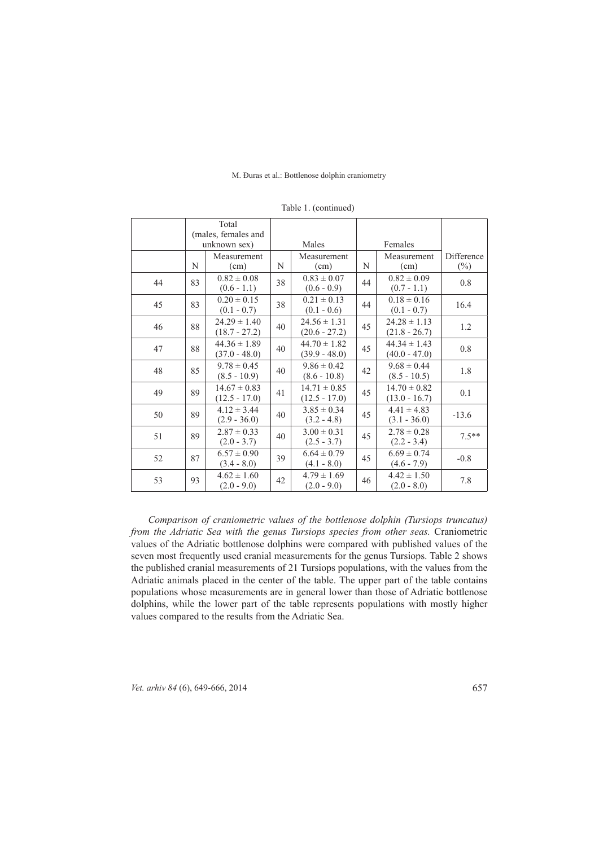|    |    | Total<br>(males, females and<br>unknown sex) |    | Males                               |    | Females                             |                      |
|----|----|----------------------------------------------|----|-------------------------------------|----|-------------------------------------|----------------------|
|    | N  | Measurement<br>(cm)                          | N  | Measurement<br>(cm)                 | N  | Measurement<br>(cm)                 | Difference<br>$(\%)$ |
| 44 | 83 | $0.82 \pm 0.08$<br>$(0.6 - 1.1)$             | 38 | $0.83 \pm 0.07$<br>$(0.6 - 0.9)$    | 44 | $0.82 \pm 0.09$<br>$(0.7 - 1.1)$    | 0.8                  |
| 45 | 83 | $0.20 \pm 0.15$<br>$(0.1 - 0.7)$             | 38 | $0.21 \pm 0.13$<br>$(0.1 - 0.6)$    | 44 | $0.18 \pm 0.16$<br>$(0.1 - 0.7)$    | 16.4                 |
| 46 | 88 | $24.29 \pm 1.40$<br>$(18.7 - 27.2)$          | 40 | $24.56 \pm 1.31$<br>$(20.6 - 27.2)$ | 45 | $24.28 \pm 1.13$<br>$(21.8 - 26.7)$ | 1.2                  |
| 47 | 88 | $44.36 \pm 1.89$<br>$(37.0 - 48.0)$          | 40 | $44.70 \pm 1.82$<br>$(39.9 - 48.0)$ | 45 | $44.34 \pm 1.43$<br>$(40.0 - 47.0)$ | 0.8                  |
| 48 | 85 | $9.78 \pm 0.45$<br>$(8.5 - 10.9)$            | 40 | $9.86 \pm 0.42$<br>$(8.6 - 10.8)$   | 42 | $9.68 \pm 0.44$<br>$(8.5 - 10.5)$   | 1.8                  |
| 49 | 89 | $14.67 \pm 0.83$<br>$(12.5 - 17.0)$          | 41 | $14.71 \pm 0.85$<br>$(12.5 - 17.0)$ | 45 | $14.70 \pm 0.82$<br>$(13.0 - 16.7)$ | 0.1                  |
| 50 | 89 | $4.12 \pm 3.44$<br>$(2.9 - 36.0)$            | 40 | $3.85 \pm 0.34$<br>$(3.2 - 4.8)$    | 45 | $4.41 \pm 4.83$<br>$(3.1 - 36.0)$   | $-13.6$              |
| 51 | 89 | $2.87 \pm 0.33$<br>$(2.0 - 3.7)$             | 40 | $3.00 \pm 0.31$<br>$(2.5 - 3.7)$    | 45 | $2.78 \pm 0.28$<br>$(2.2 - 3.4)$    | $7.5***$             |
| 52 | 87 | $6.57 \pm 0.90$<br>$(3.4 - 8.0)$             | 39 | $6.64 \pm 0.79$<br>$(4.1 - 8.0)$    | 45 | $6.69 \pm 0.74$<br>$(4.6 - 7.9)$    | $-0.8$               |
| 53 | 93 | $4.62 \pm 1.60$<br>$(2.0 - 9.0)$             | 42 | $4.79 \pm 1.69$<br>$(2.0 - 9.0)$    | 46 | $4.42 \pm 1.50$<br>$(2.0 - 8.0)$    | 7.8                  |

Table 1. (continued)

*Comparison of craniometric values of the bottlenose dolphin (Tursiops truncatus) from the Adriatic Sea with the genus Tursiops species from other seas. Craniometric* values of the Adriatic bottlenose dolphins were compared with published values of the seven most frequently used cranial measurements for the genus Tursiops. Table 2 shows the published cranial measurements of 21 Tursiops populations, with the values from the Adriatic animals placed in the center of the table. The upper part of the table contains populations whose measurements are in general lower than those of Adriatic bottlenose dolphins, while the lower part of the table represents populations with mostly higher values compared to the results from the Adriatic Sea.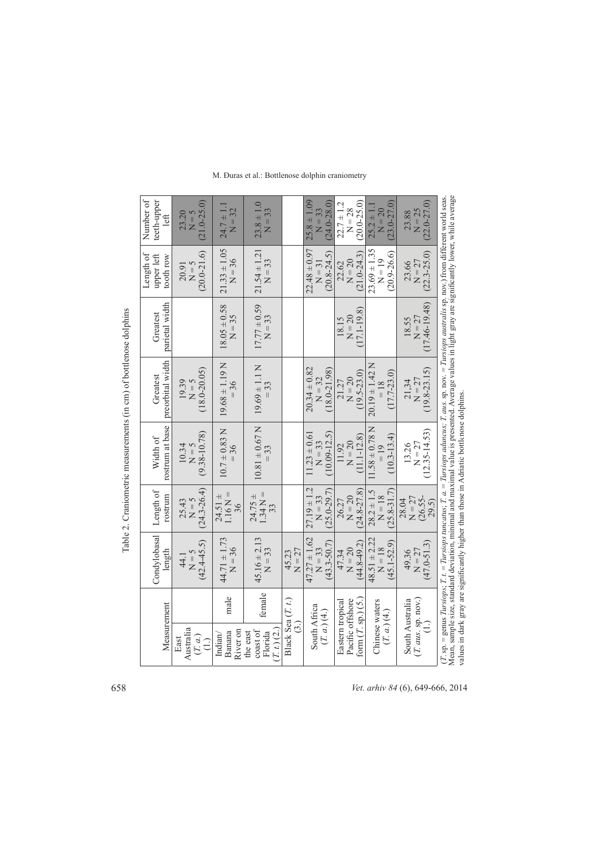|                                                                   | Number of<br>teeth-upper<br>left     | $(21.0 - 25.0)$<br>23.20<br>$N = 5$           | $24.7 \pm 1.1$<br>$N = 32$                  | $23.8 \pm 1.0$<br>$N = 33$                         |                                                  | $25.8 \pm 1.09$<br>$(0.82-0.24)$<br>$N = 33$     | $(0.0 - 25.0)$<br>$22.7 \pm 1.2$<br>$N = 28$                   | $(23.0 - 27.0)$<br>$25.2 \pm 1.1$<br>$N = 20$   | $(22.0 - 27.0)$<br>$N = 25$<br>23.88            |                                                                                                                                                                                                                                                                                                                   |
|-------------------------------------------------------------------|--------------------------------------|-----------------------------------------------|---------------------------------------------|----------------------------------------------------|--------------------------------------------------|--------------------------------------------------|----------------------------------------------------------------|-------------------------------------------------|-------------------------------------------------|-------------------------------------------------------------------------------------------------------------------------------------------------------------------------------------------------------------------------------------------------------------------------------------------------------------------|
|                                                                   | Length of<br>upper left<br>tooth row | $(20.0 - 21.6)$<br>$N = 5$<br>20.91           | $21.33 \pm 1.05$<br>$N = 36$                | $21.54 \pm 1.21$<br>$N = 33$                       |                                                  | $22.48 \pm 0.97$<br>$(2.8 - 24.5)$<br>$N = 31$   | $(21.0 - 24.3)$<br>$N = 20$<br>22.62                           | $23.69 \pm 1.35$<br>$(20.9 - 26.6)$<br>$N = 19$ | $(22.3 - 25.0)$<br>$N = 27$<br>23.66            |                                                                                                                                                                                                                                                                                                                   |
|                                                                   | parietal width<br>Greatest           |                                               | $18.05 \pm 0.58$<br>$N = 35$                | $17.77 \pm 0.59$<br>$N = 33$                       |                                                  |                                                  | $(7.1 - 19.8)$<br>$N = 20$<br>18.15                            |                                                 | $(17.46 - 19.48)$<br>$N = 27$<br>18.55          |                                                                                                                                                                                                                                                                                                                   |
| Table 2. Craniometric measurements (in cm) of bottlenose dolphins | preorbital width<br>Greatest         | $(18.0 - 20.05)$<br>19.39<br>$N = 5$          | $19.68 \pm 1.19$ N<br>$= 36$                | $19.69 \pm 1.1$ N                                  |                                                  | $20.34 \pm 0.82$<br>$(18.0 - 21.98)$<br>$N = 32$ | $(19.5 - 23.0)$<br>$N = 20$<br>21.27                           | $20.19 \pm 1.42$ N<br>$(17.7 - 23.0)$<br>$=18$  | $(19.8-23.15)$<br>$N = 27$<br>21,34             | Mean, sample size, standard deviation, minimal and maximal value is presented. Average values in light gray are significantly lower, while average<br>$(T, sp)$ = genus Tursiops; T. t. = Tursiops tuncatus; T. a. = Tursiops aduncus; T. aus. sp. nov. = Tursiops australis sp. nov.) from different world seas. |
|                                                                   | rostrum at base<br>Width of          | $(9.38 - 10.78)$<br>10.34<br>$N = 5$          | $10.7 \pm 0.83$ N<br>$= 36$                 | $10.81 \pm 0.67$ N<br>$=$ 33                       |                                                  | $(10.09 - 12.5)$<br>$11.23 \pm 0.61$<br>$N = 33$ | $(11.1 - 12.8)$<br>$N = 20$<br>11.92                           | $1.58 \pm 0.78$ N<br>$(10.3 - 13.4)$<br>$= 19$  | $(12.35 - 14.53)$<br>$N = 27$<br>13.26          | values in dark gray are significantly higher than those in Adriatic bottlenose dolphins                                                                                                                                                                                                                           |
|                                                                   | Length of<br>rostrum                 | $(24.3 - 26.4)$<br>25.43<br>$N = 5$           | $1.16 N =$<br>$\overline{+}$<br>24.51<br>36 | $1.34 N =$<br>$24.75 \pm$<br>33                    |                                                  | $27.19 \pm 1.2$<br>$(25.0 - 29.7)$<br>$N = 33$   | $24.8 - 27.8$<br>$N = 20$<br>26.27                             | $(25.8 - 31.7)$<br>$28.2 \pm 1.5$<br>$N = 18$   | $(26.55 -$<br>$N = 27$<br>28.04<br>29.5)        |                                                                                                                                                                                                                                                                                                                   |
|                                                                   | Condylobasal<br>length               | $(42.4 - 45.5)$<br>$N = 5$<br>44.1            | $44.71 \pm 1.73$<br>$N = 36$                | $45.16 \pm 2.13$<br>$N = 33$                       | $N = 27$<br>45.23                                | $47.27 \pm 1.62$<br>$(43.3 - 50.7)$<br>$N = 33$  | $(44.8 - 49.2)$<br>$N = 20$<br>47.34                           | $48.51 \pm 2.22$<br>$45.1 - 52.9$<br>$N = 18$   | $(47.0 - 51.3)$<br>$N = 27$<br>49.36            |                                                                                                                                                                                                                                                                                                                   |
|                                                                   | Measurement                          |                                               | male                                        | female                                             | Black Sea $(T, t)$<br>$\stackrel{.}{\mathbb{C}}$ | South Africa<br>$(T, a)$ (4.)                    | form $(T, sp.)$ $(5.)$<br>Pacific offshore<br>Eastern tropical | Chinese waters<br>(T, a. (4.))                  | $(T. \text{ aus. sp. nov.})$<br>South Australia |                                                                                                                                                                                                                                                                                                                   |
|                                                                   |                                      | Australia<br>(T, a)<br>East<br>$\overline{1}$ | River on<br>Banana<br>ndian/                | $T_{.}$ ( $2$ )<br>coast of<br>the east<br>Florida |                                                  |                                                  |                                                                |                                                 |                                                 |                                                                                                                                                                                                                                                                                                                   |

658 *Vet. arhiv 84* (6), 649-666, 2014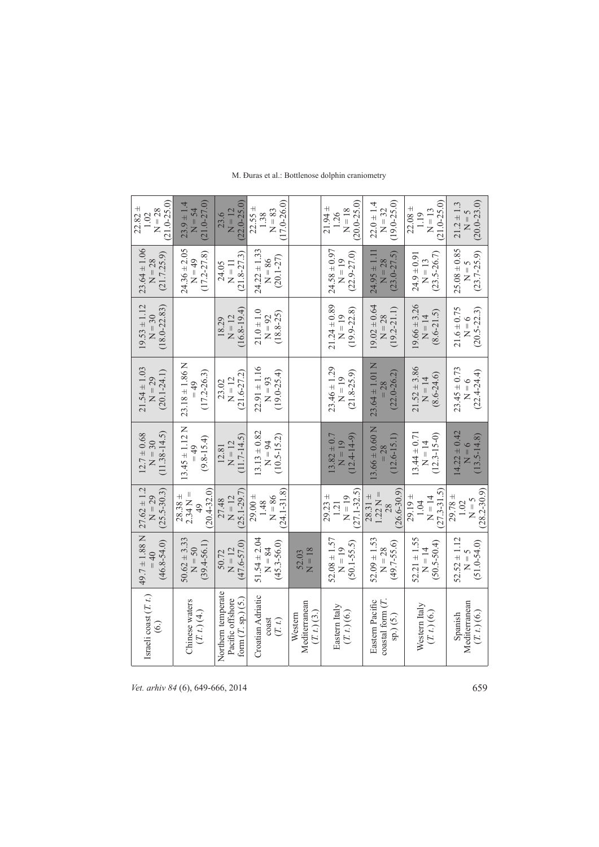| $(21.0 - 25.0)$<br>$22.82 \pm$<br>$N = 28$<br>1.02 | $(21.0 - 27.0)$<br>$23.9 \pm 1.4$<br>$N = 54$                | $(22.0 - 25.0)$<br>$N = 12$<br>23.6                           | $(17.0 - 26.0)$<br>$22.55 \pm$<br>$N = 83$<br>1.38 |                                           | $(20.0 - 25.0)$<br>$21.94 \pm$<br>$N = 18$<br>1.26 | $(19.0 - 25.0)$<br>$22.0 \pm 1.4$<br>$N = 32$             | $(21.0 - 25.0)$<br>$22.08 \pm$<br>$N = 13$<br>1.19 | $(20.0 - 23.0)$<br>$21.2 \pm 1.3$<br>$N = 5$      |
|----------------------------------------------------|--------------------------------------------------------------|---------------------------------------------------------------|----------------------------------------------------|-------------------------------------------|----------------------------------------------------|-----------------------------------------------------------|----------------------------------------------------|---------------------------------------------------|
| $23.64 \pm 1.06$<br>(21.7.25.9)<br>$N = 28$        | $24.36 \pm 2.05$<br>$(17.2 - 27.8)$<br>$N = 49$              | $(21.8 - 27.3)$<br>$N = 11$<br>24.05                          | $24.22 \pm 1.33$<br>$(20.1 - 27)$<br>$N = 86$      |                                           | $24.58 \pm 0.97$<br>$(22.9 - 27.0)$<br>$N = 19$    | $24.95 \pm 1.11$<br>$(23.0 - 27.5)$<br>$N = 28$           | $(23.5 - 26.7)$<br>$24.9 \pm 0.91$<br>$N = 13$     | $25.08 \pm 0.85$<br>$(23.7 - 25.9)$<br>$N = 5$    |
| $19.53 \pm 1.12$<br>$(18.0 - 22.83)$<br>$N = 30$   |                                                              | $(16.8 - 19.4)$<br>$N = 12$<br>18.29                          | $21.0 \pm 1.0$<br>$(18.8 - 25)$<br>$N = 92$        |                                           | $21.24 \pm 0.89$<br>$(19.9 - 22.8)$<br>$N = 19$    | $19.02 \pm 0.64$<br>$(19.2 - 21.1)$<br>$N = 28$           | $19.66 \pm 3.26$<br>$(8.6 - 21.5)$<br>$N = 14$     | $21.6 \pm 0.75$<br>$(20.5 - 22.3)$<br>$N = 6$     |
| $21.54 \pm 1.03$<br>$(20.1 - 24.1)$<br>$N = 29$    | $23.18 \pm 1.86$ N<br>$(17.2 - 26.3)$<br>$= 49$              | $(21.6 - 27.2)$<br>$N = 12$<br>23.02                          | $22.91 \pm 1.16$<br>$(19.0 - 25.4)$<br>$N = 93$    |                                           | $23.46 \pm 1.29$<br>$(21.8 - 25.9)$<br>$N = 19$    | $23.64 \pm 1.01$ N<br>$(22.0 - 26.2)$<br>$= 28$           | $21.52 \pm 3.86$<br>$(8.6 - 24.6)$<br>$N = 14$     | $23.45 \pm 0.73$<br>$(22.4 - 24.4)$<br>$N = 6$    |
| $(11.38 - 14.5)$<br>$12.7 \pm 0.68$<br>$N = 30$    | $13.45 \pm 1.12$ N<br>$(9.8 - 15.4)$<br>$= 49$               | $(11.7 - 14.5)$<br>$N = 12$<br>12.81                          | $13.13 \pm 0.82$<br>$(10.5 - 15.2)$<br>$N = 94$    |                                           | $(12.4 - 14 - 9)$<br>$13.82 \pm 0.7$<br>$N = 19$   | $3.66 \pm 0.60$ N<br>$(12.6 - 15.1)$<br>$= 28$            | $13.44 \pm 0.71$<br>$(12.3 - 15 - 0)$<br>$N = 14$  | $14.22 \pm 0.42$<br>$(13.5 - 14.8)$<br>$N = 6$    |
| $27.62 \pm 1.2$<br>$(25.5 - 30.3)$<br>$N = 29$     | $20.4 - 32.0$<br>$2.34 N =$<br>$28.38 \pm$<br>$\frac{49}{5}$ | $(25.1 - 29.7)$<br>$27.48$<br>N = 12                          | $(24.1 - 31.8)$<br>$29.00 +$<br>$N = 86$<br>1.48   |                                           | $(27.1 - 32.5)$<br>$29.23 +$<br>$N = 19$<br>1.21   | $(26.6 - 30.9)$<br>$1.22 N =$<br>$28.31 \pm$<br>28        | $(27.3 - 31.5)$<br>$29.19 \pm$<br>$N = 14$<br>1.04 | $(28.2 - 30.9)$<br>$29.78 \pm$<br>$N = 5$<br>1.02 |
| $49.7 \pm 1.88$ N<br>$(46.8 - 54.0)$<br>$= 40$     | $50.62 \pm 3.33$<br>$(39.4 - 56.1)$<br>$N = 50$              | $(47.6 - 57.0)$<br>$N = 12$<br>50.72                          | $51.54 \pm 2.04$<br>$(45.3 - 56.0)$<br>$N = 84$    | $N = 18$<br>52.03                         | $52.08 \pm 1.57$<br>$(50.1 - 55.5)$<br>$N = 19$    | $52.09 \pm 1.53$<br>$(49.7 - 55.6)$<br>$N = 28$           | $52.21 \pm 1.55$<br>$(50.5 - 50.4)$<br>$N = 14$    | $52.52 \pm 1.12$<br>$(51.0 - 54.0)$<br>$N = 5$    |
| Israeli coast (T. t.)<br>$\rm\acute{e}$            | Chinese waters<br>$(T, t)$ $(4)$                             | Northern temperate<br>form $(T, sp.)(5.)$<br>Pacific offshore | Croatian Adriatic<br>(T, t.)<br>coast              | Mediterranean<br>$(T, t)$ (3.)<br>Western | Eastern Italy<br>$(T, t)$ (6.)                     | $\cos \alpha$ form $(T$ .<br>Eastern Pacific<br>sp.) (5.) | Western Italy<br>(T. t.)(6.)                       | Mediterranean<br>$(T, t)$ (6.)<br>Spanish         |

M. Đuras et al.: Bottlenose dolphin craniometry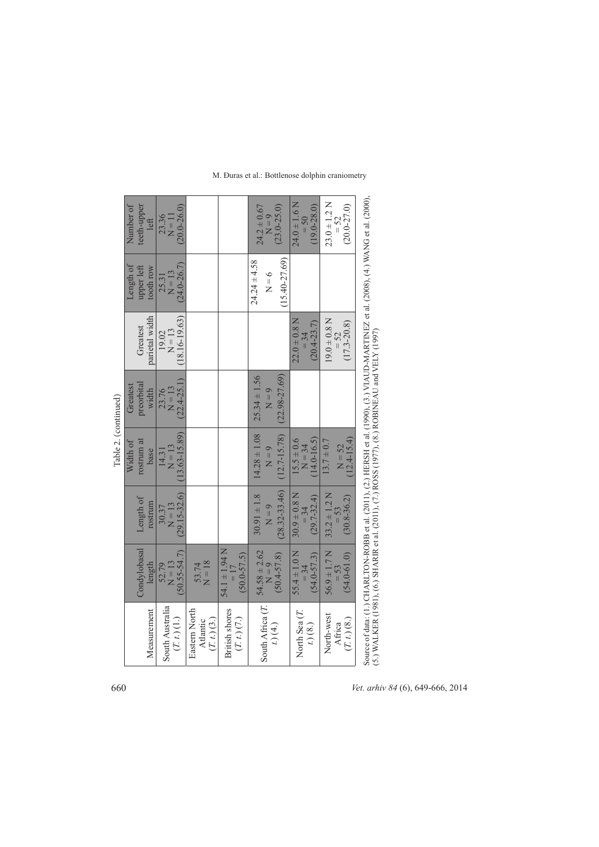|                                          |                                                |                                                                                                                                                                                                                                               | Table 2. (continued)                            |                                                  |                                               |                                                  |                                                           |
|------------------------------------------|------------------------------------------------|-----------------------------------------------------------------------------------------------------------------------------------------------------------------------------------------------------------------------------------------------|-------------------------------------------------|--------------------------------------------------|-----------------------------------------------|--------------------------------------------------|-----------------------------------------------------------|
|                                          | Condylobasal                                   | Length of                                                                                                                                                                                                                                     | rostrum at<br>Width of                          | preorbital<br>Greatest                           | Greatest                                      | Length of<br>upper left                          | Number of<br>teeth-upper                                  |
| Measurement                              | length                                         | rostrum                                                                                                                                                                                                                                       | base                                            | width                                            | parietal width                                | tooth row                                        | left                                                      |
| South Australia<br>$(T, t)$ (1.)         | $50.55 - 54.7$<br>$N = 13$<br>52.79            | $(29.15 - 32.6)$<br>$N = 13$<br>30.37                                                                                                                                                                                                         | $(13.63 - 15.89)$<br>$N = 13$<br>14.31          | $(22.4 - 25.1)$<br>$N = 13$<br>23.76             | $(18.16 - 19.63)$<br>$N = 13$<br>19.02        | $(24.0 - 26.7)$<br>$N = 13$<br>25.31             | $(20.0 - 26.0)$<br>23.36<br>$\overline{I} = \overline{I}$ |
| Eastern North<br>(T, t) (3.)<br>Atlantic | $N = 18$<br>53.74                              |                                                                                                                                                                                                                                               |                                                 |                                                  |                                               |                                                  |                                                           |
| <b>British</b> shores<br>(T, t) (7.)     | $54.1 \pm 1.94$ N<br>$(50.0 - 57.5)$<br>$= 17$ |                                                                                                                                                                                                                                               |                                                 |                                                  |                                               |                                                  |                                                           |
| South Africa (T.<br>$t)$ (4.)            | $54.58 \pm 2.62$<br>$(50.4 - 57.8)$<br>$N = 9$ | $(28.32 - 33.46)$<br>$30.91 \pm 1.8$<br>$N = 9$                                                                                                                                                                                               | $14.28 \pm 1.08$<br>$(12.7 - 15.78)$<br>$N = 9$ | $(22.98 - 27.69)$<br>$25.34 \pm 1.56$<br>$N = 9$ |                                               | $(15.40 - 27.69)$<br>$24.24 \pm 4.58$<br>$N = 6$ | $24.2 \pm 0.67$<br>$(23.0 - 25.0)$<br>$N = 9$             |
| North Sea (T.<br>t. (8.)                 | $55.4 \pm 1.0$ N<br>$(54.0 - 57.3)$<br>$= 34$  | $30.9 \pm 0.8$ N<br>$(29.7 - 32.4)$<br>$= 34$                                                                                                                                                                                                 | $(14.0 - 16.5)$<br>$15.5 \pm 0.6$<br>$N = 34$   |                                                  | $22.0 \pm 0.8$ N<br>$(20.4 - 23.7)$<br>$= 34$ |                                                  | $24.0 \pm 1.6$ N<br>$(19.0 - 28.0)$<br>$=50$              |
| North-west<br>(T. t. (8.))<br>Africa     | $56.9 \pm 1.7$ N<br>$(54.0 - 61.0)$            | $33.2 \pm 1.2$ N<br>$(30.8 - 36.2)$                                                                                                                                                                                                           | $(12.4 - 15.4)$<br>$13.7 \pm 0.7$<br>$N = 52$   |                                                  | $19.0\pm0.8$ N<br>$(17.3 - 20.8)$<br>$= 52$   |                                                  | $23.0 \pm 1.2$ N<br>$(20.0 - 27.0)$<br>$=52$              |
|                                          |                                                | Source of data: (1, ) CHARLTON-ROBB et al. (2011), (2, ) HERSH et al. (1990), (3, ) VIAUD-MARTINEZ et al. (2008), (4, ) WANG et al. (2000),<br>(5.) WALKER (1981), (6.) SHARIR et al. (2011), (7.) ROSS (1977), (8.) ROBINEAU and VELY (1997) |                                                 |                                                  |                                               |                                                  |                                                           |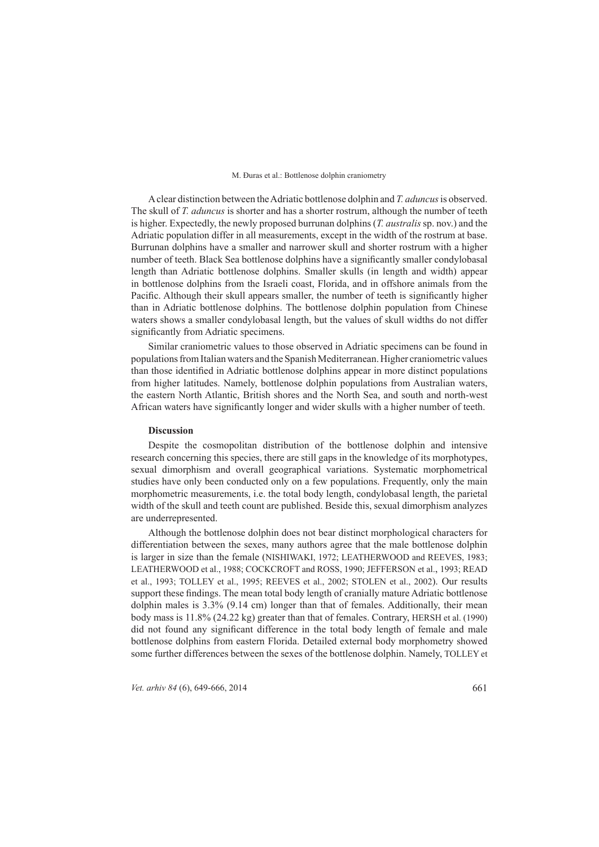A clear distinction between the Adriatic bottlenose dolphin and *T. aduncus* is observed. The skull of *T. aduncus* is shorter and has a shorter rostrum, although the number of teeth is higher. Expectedly, the newly proposed burrunan dolphins *(T. australis* sp. nov.) and the Adriatic population differ in all measurements, except in the width of the rostrum at base. Burrunan dolphins have a smaller and narrower skull and shorter rostrum with a higher number of teeth. Black Sea bottlenose dolphins have a significantly smaller condylobasal length than Adriatic bottlenose dolphins. Smaller skulls (in length and width) appear in bottlenose dolphins from the Israeli coast. Florida, and in offshore animals from the Pacific. Although their skull appears smaller, the number of teeth is significantly higher than in Adriatic bottlenose dolphins. The bottlenose dolphin population from Chinese waters shows a smaller condylobasal length, but the values of skull widths do not differ significantly from Adriatic specimens.

Similar craniometric values to those observed in Adriatic specimens can be found in populations from Italian waters and the Spanish Mediterranean. Higher craniometric values than those identified in Adriatic bottlenose dolphins appear in more distinct populations from higher latitudes. Namely, bottlenose dolphin populations from Australian waters, the eastern North Atlantic, British shores and the North Sea, and south and north-west African waters have significantly longer and wider skulls with a higher number of teeth.

#### **Discussion iscussion**

Despite the cosmopolitan distribution of the bottlenose dolphin and intensive research concerning this species, there are still gaps in the knowledge of its morphotypes, sexual dimorphism and overall geographical variations. Systematic morphometrical studies have only been conducted only on a few populations. Frequently, only the main morphometric measurements, i.e. the total body length, condylobasal length, the parietal width of the skull and teeth count are published. Beside this, sexual dimorphism analyzes are underrepresented.

Although the bottlenose dolphin does not bear distinct morphological characters for differentiation between the sexes, many authors agree that the male bottlenose dolphin is larger in size than the female (NISHIWAKI, 1972; LEATHERWOOD and REEVES, 1983; LEATHERWOOD et al., 1988; COCKCROFT and ROSS, 1990; JEFFERSON et al., 1993; READ et al., 1993; TOLLEY et al., 1995; REEVES et al., 2002; STOLEN et al., 2002). Our results support these findings. The mean total body length of cranially mature Adriatic bottlenose dolphin males is 3.3% (9.14 cm) longer than that of females. Additionally, their mean body mass is  $11.8\%$  (24.22 kg) greater than that of females. Contrary, HERSH et al. (1990) did not found any significant difference in the total body length of female and male bottlenose dolphins from eastern Florida. Detailed external body morphometry showed some further differences between the sexes of the bottlenose dolphin. Namely, TOLLEY et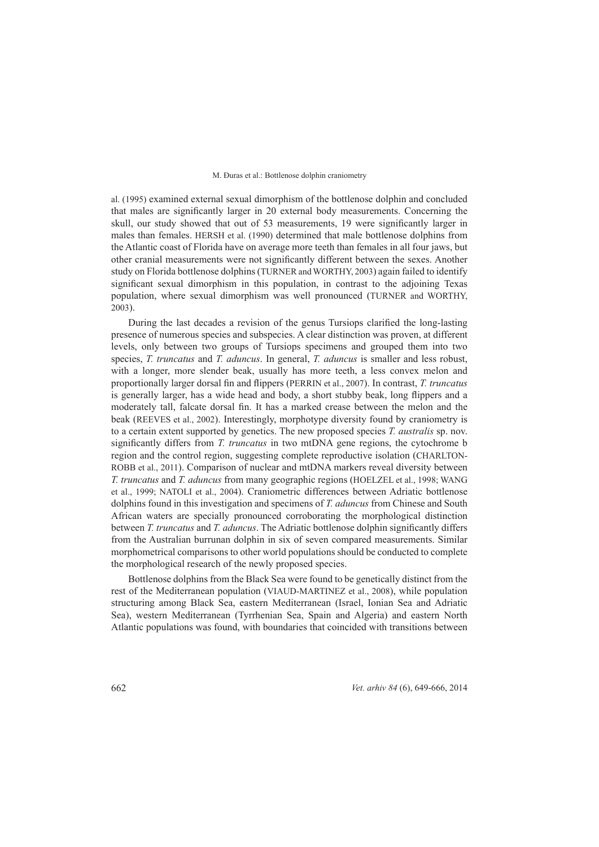al. (1995) examined external sexual dimorphism of the bottlenose dolphin and concluded that males are significantly larger in 20 external body measurements. Concerning the skull, our study showed that out of 53 measurements, 19 were significantly larger in males than females. HERSH et al. (1990) determined that male bottlenose dolphins from the Atlantic coast of Florida have on average more teeth than females in all four jaws, but other cranial measurements were not significantly different between the sexes. Another study on Florida bottlenose dolphins (TURNER and WORTHY, 2003) again failed to identify significant sexual dimorphism in this population, in contrast to the adjoining Texas population, where sexual dimorphism was well pronounced (TURNER and WORTHY, 2003).

During the last decades a revision of the genus Tursiops clarified the long-lasting presence of numerous species and subspecies. A clear distinction was proven, at different levels, only between two groups of Tursiops specimens and grouped them into two species, *T. truncatus* and *T. aduncus*. In general, *T. aduncus* is smaller and less robust, with a longer, more slender beak, usually has more teeth, a less convex melon and proportionally larger dorsal fin and flippers (PERRIN et al., 2007). In contrast, *T. truncatus* is generally larger, has a wide head and body, a short stubby beak, long flippers and a moderately tall, falcate dorsal fin. It has a marked crease between the melon and the beak (REEVES et al., 2002). Interestingly, morphotype diversity found by craniometry is to a certain extent supported by genetics. The new proposed species *T. australis* sp. nov. significantly differs from *T. truncatus* in two mtDNA gene regions, the cytochrome b region and the control region, suggesting complete reproductive isolation (CHARLTON-ROBB et al., 2011). Comparison of nuclear and mtDNA markers reveal diversity between *T. truncatus* and *T. aduncus* from many geographic regions (HOELZEL et al., 1998; WANG et al., 1999; NATOLI et al., 2004). Craniometric differences between Adriatic bottlenose dolphins found in this investigation and specimens of *T. aduncus* from Chinese and South African waters are specially pronounced corroborating the morphological distinction between *T. truncatus* and *T. aduncus*. The Adriatic bottlenose dolphin significantly differs from the Australian burrunan dolphin in six of seven compared measurements. Similar morphometrical comparisons to other world populations should be conducted to complete the morphological research of the newly proposed species.

Bottlenose dolphins from the Black Sea were found to be genetically distinct from the rest of the Mediterranean population (VIAUD-MARTINEZ et al., 2008), while population structuring among Black Sea, eastern Mediterranean (Israel, Ionian Sea and Adriatic Sea), western Mediterranean (Tyrrhenian Sea, Spain and Algeria) and eastern North Atlantic populations was found, with boundaries that coincided with transitions between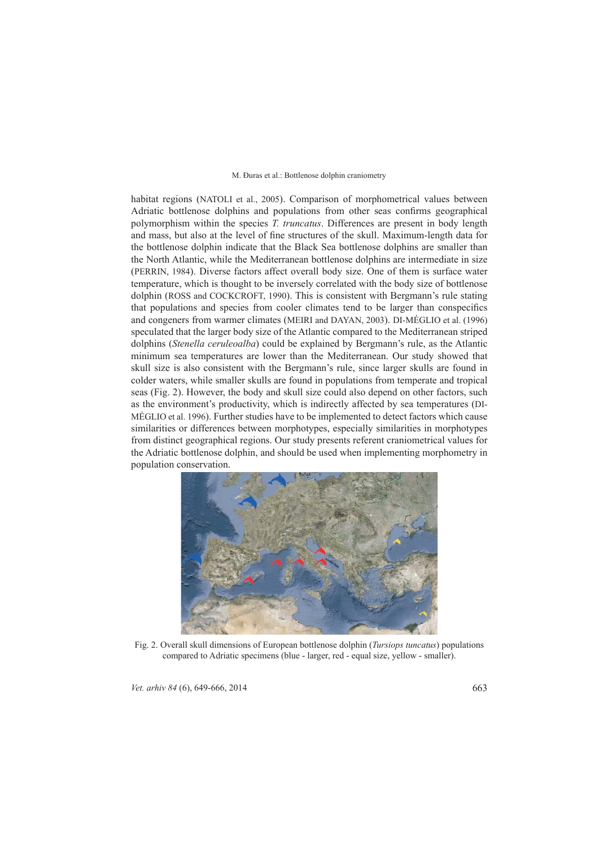habitat regions (NATOLI et al., 2005). Comparison of morphometrical values between Adriatic bottlenose dolphins and populations from other seas confirms geographical polymorphism within the species *T. truncatus*. Differences are present in body length and mass, but also at the level of fine structures of the skull. Maximum-length data for the bottlenose dolphin indicate that the Black Sea bottlenose dolphins are smaller than the North Atlantic, while the Mediterranean bottlenose dolphins are intermediate in size (PERRIN, 1984). Diverse factors affect overall body size. One of them is surface water temperature, which is thought to be inversely correlated with the body size of bottlenose dolphin (ROSS and COCKCROFT, 1990). This is consistent with Bergmann's rule stating that populations and species from cooler climates tend to be larger than conspecifics and congeners from warmer climates (MEIRI and DAYAN, 2003). DI-MÉGLIO et al. (1996) speculated that the larger body size of the Atlantic compared to the Mediterranean striped dolphins *(Stenella ceruleoalba)* could be explained by Bergmann's rule, as the Atlantic minimum sea temperatures are lower than the Mediterranean. Our study showed that skull size is also consistent with the Bergmann's rule, since larger skulls are found in colder waters, while smaller skulls are found in populations from temperate and tropical seas (Fig. 2). However, the body and skull size could also depend on other factors, such as the environment's productivity, which is indirectly affected by sea temperatures (DI-MÉGLIO et al. 1996). Further studies have to be implemented to detect factors which cause similarities or differences between morphotypes, especially similarities in morphotypes from distinct geographical regions. Our study presents referent craniometrical values for the Adriatic bottlenose dolphin, and should be used when implementing morphometry in population conservation.



Fig. 2. Overall skull dimensions of European bottlenose dolphin *(Tursiops tuncatus*) populations compared to Adriatic specimens (blue - larger, red - equal size, yellow - smaller).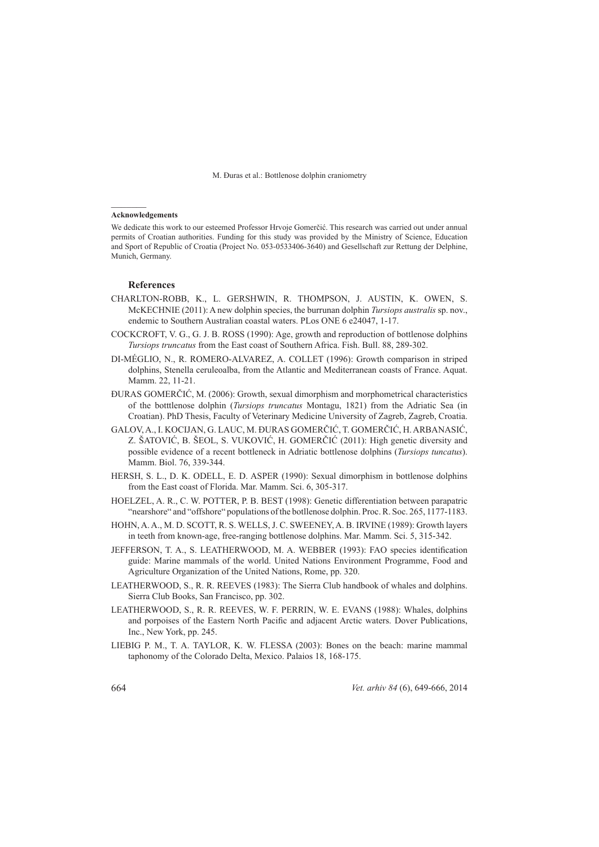### **Acknowledgements**

We dedicate this work to our esteemed Professor Hrvoje Gomerčić. This research was carried out under annual permits of Croatian authorities. Funding for this study was provided by the Ministry of Science, Education and Sport of Republic of Croatia (Project No. 053-0533406-3640) and Gesellschaft zur Rettung der Delphine, Munich, Germany.

### **References eferences**

- CHARLTON-ROBB, K., L. GERSHWIN, R. THOMPSON, J. AUSTIN, K. OWEN, S. McKECHNIE (2011): A new dolphin species, the burrunan dolphin *Tursiops australis* sp. nov., endemic to Southern Australian coastal waters. PLos ONE 6 e24047, 1-17.
- COCKCROFT, V. G., G. J. B. ROSS (1990): Age, growth and reproduction of bottlenose dolphins *Tursiops truncatus* from the East coast of Southern Africa. Fish. Bull. 88, 289-302.
- DI-MÉGLIO, N., R. ROMERO-ALVAREZ, A. COLLET (1996): Growth comparison in striped dolphins, Stenella ceruleoalba, from the Atlantic and Mediterranean coasts of France. Aquat. Mamm. 22, 11-21.
- ĐURAS GOMERČIĆ, M. (2006): Growth, sexual dimorphism and morphometrical characteristics of the botttlenose dolphin (*Tursiops truncatus* Montagu, 1821) from the Adriatic Sea (in Croatian). PhD Thesis, Faculty of Veterinary Medicine University of Zagreb, Zagreb, Croatia.
- GALOV, A., I. KOCIJAN, G. LAUC, M. ĐURAS GOMERČIĆ, T. GOMERČIĆ, H. ARBANASIĆ, Z. ŠATOVIĆ, B. ŠEOL, S. VUKOVIĆ, H. GOMERČIĆ (2011): High genetic diversity and possible evidence of a recent bottleneck in Adriatic bottlenose dolphins (Tursiops tuncatus). Mamm. Biol. 76, 339-344.
- HERSH, S. L., D. K. ODELL, E. D. ASPER (1990): Sexual dimorphism in bottlenose dolphins from the East coast of Florida. Mar. Mamm. Sci. 6, 305-317.
- HOELZEL, A. R., C. W. POTTER, P. B. BEST (1998): Genetic differentiation between parapatric "nearshore" and "offshore" populations of the botllenose dolphin. Proc. R. Soc. 265, 1177-1183.
- HOHN, A. A., M. D. SCOTT, R. S. WELLS, J. C. SWEENEY, A. B. IRVINE (1989): Growth layers in teeth from known-age, free-ranging bottlenose dolphins. Mar. Mamm. Sci. 5, 315-342.
- JEFFERSON, T. A., S. LEATHERWOOD, M. A. WEBBER (1993): FAO species identification guide: Marine mammals of the world. United Nations Environment Programme, Food and Agriculture Organization of the United Nations, Rome, pp. 320.
- LEATHERWOOD, S., R. R. REEVES (1983): The Sierra Club handbook of whales and dolphins. Sierra Club Books, San Francisco, pp. 302.
- LEATHERWOOD, S., R. R. REEVES, W. F. PERRIN, W. E. EVANS (1988): Whales, dolphins and porpoises of the Eastern North Pacific and adjacent Arctic waters. Dover Publications, Inc., New York, pp. 245.
- LIEBIG P. M., T. A. TAYLOR, K. W. FLESSA (2003): Bones on the beach: marine mammal taphonomy of the Colorado Delta, Mexico. Palaios 18, 168-175.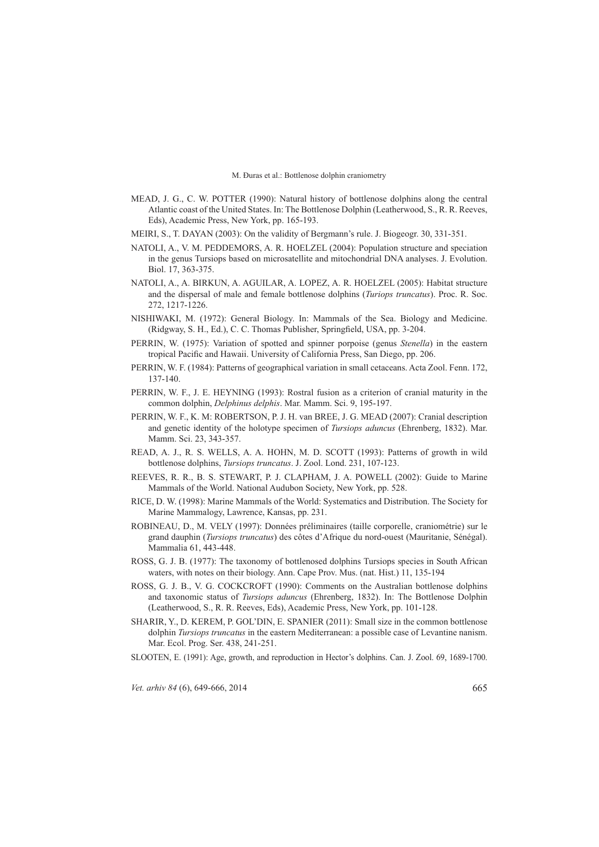- MEAD, J. G., C. W. POTTER (1990): Natural history of bottlenose dolphins along the central Atlantic coast of the United States. In: The Bottlenose Dolphin (Leatherwood, S., R. R. Reeves, Eds), Academic Press, New York, pp. 165-193.
- MEIRI, S., T. DAYAN (2003): On the validity of Bergmann's rule. J. Biogeogr. 30, 331-351.
- NATOLI, A., V. M. PEDDEMORS, A. R. HOELZEL (2004): Population structure and speciation in the genus Tursiops based on microsatellite and mitochondrial DNA analyses. J. Evolution. Biol. 17, 363-375.
- NATOLI, A., A. BIRKUN, A. AGUILAR, A. LOPEZ, A. R. HOELZEL (2005): Habitat structure and the dispersal of male and female bottlenose dolphins (*Turiops truncatus*). Proc. R. Soc. 272, 1217-1226.
- NISHIWAKI, M. (1972): General Biology. In: Mammals of the Sea. Biology and Medicine. (Ridgway, S. H., Ed.), C. C. Thomas Publisher, Springfield, USA, pp. 3-204.
- PERRIN, W. (1975): Variation of spotted and spinner porpoise (genus *Stenella*) in the eastern tropical Pacific and Hawaii. University of California Press, San Diego, pp. 206.
- PERRIN, W. F. (1984): Patterns of geographical variation in small cetaceans. Acta Zool. Fenn. 172, 137-140.
- PERRIN, W. F., J. E. HEYNING (1993): Rostral fusion as a criterion of cranial maturity in the common dolphin, *Delphinus delphis*. Mar. Mamm. Sci. 9, 195-197.
- PERRIN, W. F., K. M: ROBERTSON, P. J. H. van BREE, J. G. MEAD (2007): Cranial description and genetic identity of the holotype specimen of *Tursiops aduncus (Ehrenberg, 1832)*. Mar. Mamm. Sci. 23, 343-357.
- READ, A. J., R. S. WELLS, A. A. HOHN, M. D. SCOTT (1993): Patterns of growth in wild bottlenose dolphins, *Tursiops truncatus*. J. Zool. Lond. 231, 107-123.
- REEVES, R. R., B. S. STEWART, P. J. CLAPHAM, J. A. POWELL (2002): Guide to Marine Mammals of the World. National Audubon Society, New York, pp. 528.
- RICE, D. W. (1998): Marine Mammals of the World: Systematics and Distribution. The Society for Marine Mammalogy, Lawrence, Kansas, pp. 231.
- ROBINEAU, D., M. VELY (1997): Données préliminaires (taille corporelle, craniométrie) sur le grand dauphin (*Tursiops truncatus*) des côtes d'Afrique du nord-ouest (Mauritanie, Sénégal). Mammalia 61, 443-448.
- ROSS, G. J. B. (1977): The taxonomy of bottlenosed dolphins Tursiops species in South African waters, with notes on their biology. Ann. Cape Prov. Mus. (nat. Hist.) 11, 135-194
- ROSS, G. J. B., V. G. COCKCROFT (1990): Comments on the Australian bottlenose dolphins and taxonomic status of *Tursiops aduncus* (Ehrenberg, 1832). In: The Bottlenose Dolphin (Leatherwood, S., R. R. Reeves, Eds), Academic Press, New York, pp. 101-128.
- SHARIR, Y., D. KEREM, P. GOL'DIN, E. SPANIER (2011): Small size in the common bottlenose dolphin *Tursiops truncatus* in the eastern Mediterranean: a possible case of Levantine nanism. Mar. Ecol. Prog. Ser. 438, 241-251.
- SLOOTEN, E. (1991): Age, growth, and reproduction in Hector's dolphins. Can. J. Zool. 69, 1689-1700.